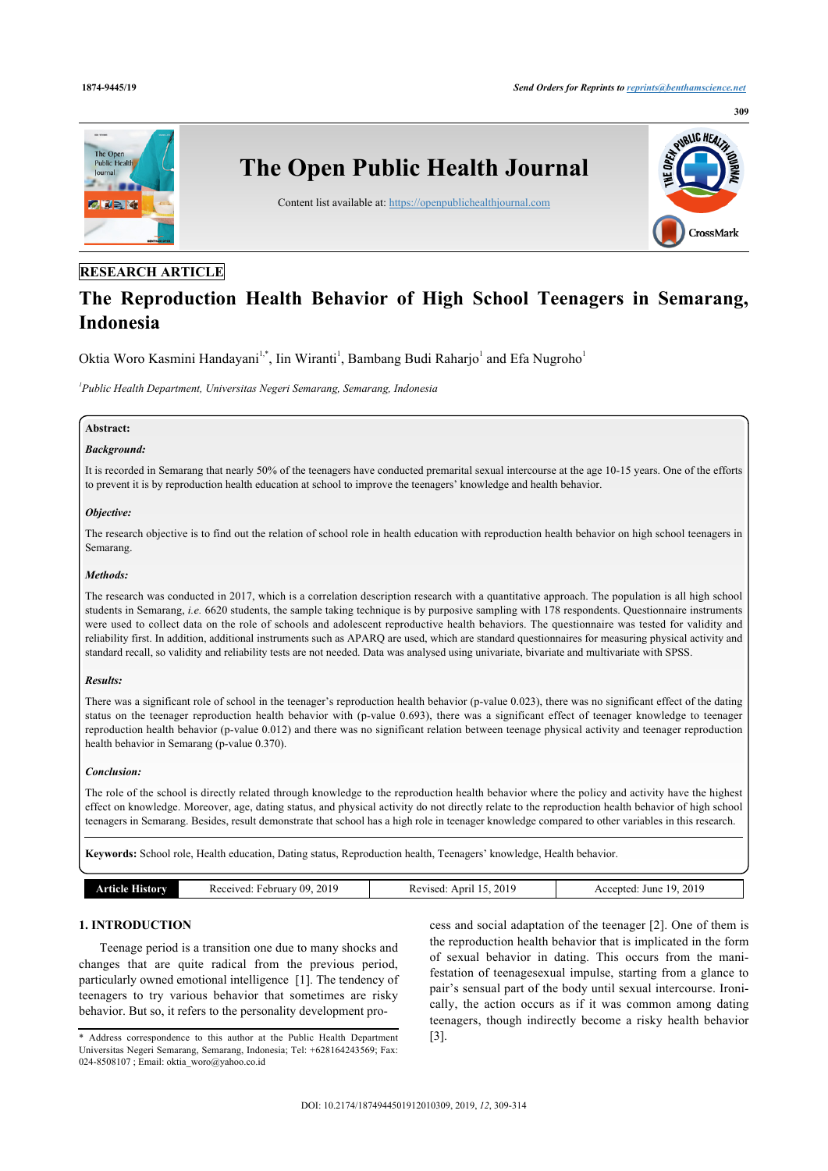

# **RESEARCH ARTICLE**

# **The Reproduction Health Behavior of High School Teenagers in Semarang, Indonesia**

Oktia Woro Kasmini Handayani<sup>[1](#page-0-0),[\\*](#page-0-1)</sup>, Iin Wiranti<sup>1</sup>, Bambang Budi Raharjo<sup>1</sup> and Efa Nugroho<sup>1</sup>

<span id="page-0-0"></span>*1 Public Health Department, Universitas Negeri Semarang, Semarang, Indonesia*

#### **Abstract:**

# *Background:*

It is recorded in Semarang that nearly 50% of the teenagers have conducted premarital sexual intercourse at the age 10-15 years. One of the efforts to prevent it is by reproduction health education at school to improve the teenagers' knowledge and health behavior.

#### *Objective:*

The research objective is to find out the relation of school role in health education with reproduction health behavior on high school teenagers in Semarang.

# *Methods:*

The research was conducted in 2017, which is a correlation description research with a quantitative approach. The population is all high school students in Semarang, *i.e.* 6620 students, the sample taking technique is by purposive sampling with 178 respondents. Questionnaire instruments were used to collect data on the role of schools and adolescent reproductive health behaviors. The questionnaire was tested for validity and reliability first. In addition, additional instruments such as APARQ are used, which are standard questionnaires for measuring physical activity and standard recall, so validity and reliability tests are not needed. Data was analysed using univariate, bivariate and multivariate with SPSS.

#### *Results:*

There was a significant role of school in the teenager's reproduction health behavior (p-value 0.023), there was no significant effect of the dating status on the teenager reproduction health behavior with (p-value 0.693), there was a significant effect of teenager knowledge to teenager reproduction health behavior (p-value 0.012) and there was no significant relation between teenage physical activity and teenager reproduction health behavior in Semarang (p-value 0.370).

#### *Conclusion:*

The role of the school is directly related through knowledge to the reproduction health behavior where the policy and activity have the highest effect on knowledge. Moreover, age, dating status, and physical activity do not directly relate to the reproduction health behavior of high school teenagers in Semarang. Besides, result demonstrate that school has a high role in teenager knowledge compared to other variables in this research.

**Keywords:** School role, Health education, Dating status, Reproduction health, Teenagers' knowledge, Health behavior.

|  | .orv | 2019<br>09<br>ebruary<br>700<br>R ec<br>. .<br>. | 2019<br>\nri<br>zised<br>. | 2010<br>June<br>:ntec<br>. .<br>91.<br>$\omega_{\perp}$<br>___ |
|--|------|--------------------------------------------------|----------------------------|----------------------------------------------------------------|
|--|------|--------------------------------------------------|----------------------------|----------------------------------------------------------------|

# **1. INTRODUCTION**

Teenage period is a transition one due to many shocks and changes that are quite radical from the previous period, particularly owned emotional intelligence [\[1\]](#page-4-0). The tendency of teenagers to try various behavior that sometimes are risky behavior. But so, it refers to the personality development process and social adaptation of the teenager [\[2\]](#page-4-1). One of them is the reproduction health behavior that is implicated in the form of sexual behavior in dating. This occurs from the manifestation of teenagesexual impulse, starting from a glance to pair's sensual part of the body until sexual intercourse. Ironically, the action occurs as if it was common among dating teenagers, though indirectly become a risky health behavior [[3](#page-4-2)].

<span id="page-0-1"></span><sup>\*</sup> Address correspondence to this author at the Public Health Department Universitas Negeri Semarang, Semarang, Indonesia; Tel: +628164243569; Fax: 024-8508107; Email: [oktia\\_woro@yahoo.co.id](mailto:oktia_woro@yahoo.co.id)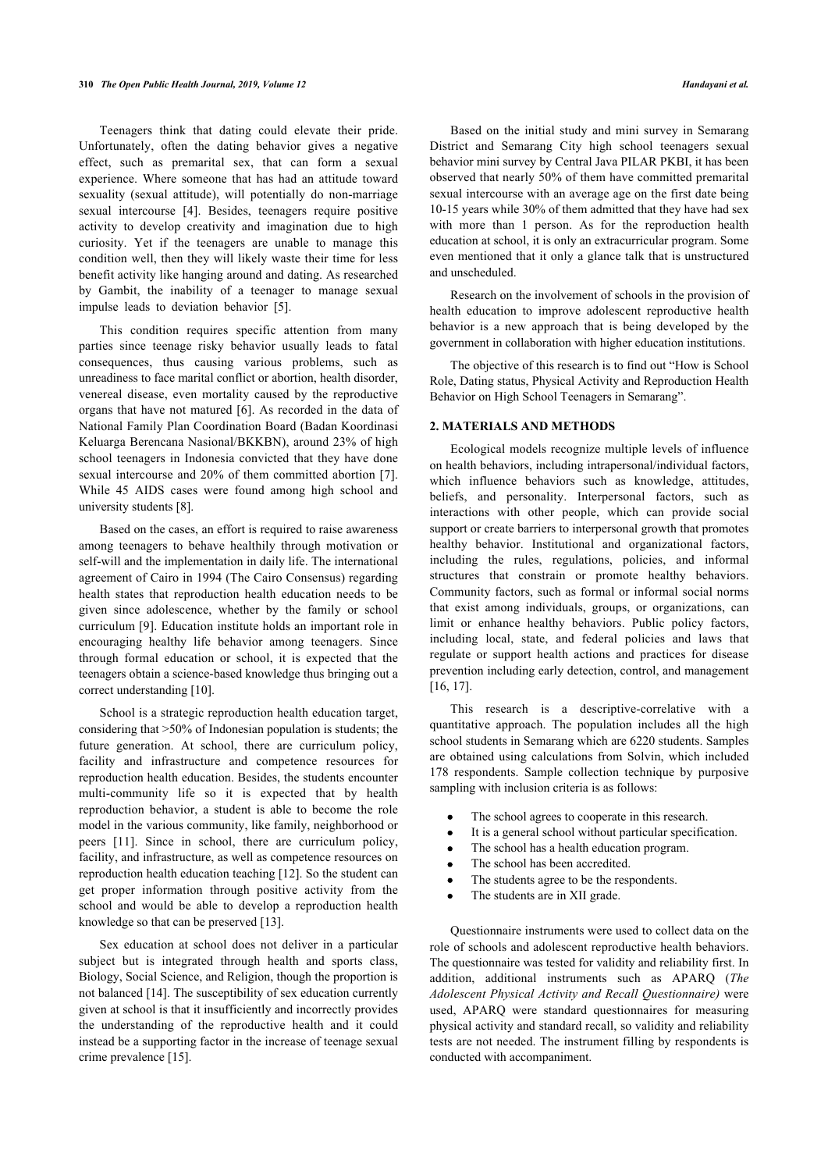Teenagers think that dating could elevate their pride. Unfortunately, often the dating behavior gives a negative effect, such as premarital sex, that can form a sexual experience. Where someone that has had an attitude toward sexuality (sexual attitude), will potentially do non-marriage sexual intercourse[[4](#page-4-3)]. Besides, teenagers require positive activity to develop creativity and imagination due to high curiosity. Yet if the teenagers are unable to manage this condition well, then they will likely waste their time for less benefit activity like hanging around and dating. As researched by Gambit, the inability of a teenager to manage sexual impulse leads to deviation behavior[[5](#page-4-4)].

This condition requires specific attention from many parties since teenage risky behavior usually leads to fatal consequences, thus causing various problems, such as unreadiness to face marital conflict or abortion, health disorder, venereal disease, even mortality caused by the reproductive organs that have not matured [\[6](#page-4-5)]. As recorded in the data of National Family Plan Coordination Board (Badan Koordinasi Keluarga Berencana Nasional/BKKBN), around 23% of high school teenagers in Indonesia convicted that they have done sexual intercourse and 20% of them committed abortion [\[7\]](#page-4-6). While 45 AIDS cases were found among high school and university students [[8](#page-4-7)].

Based on the cases, an effort is required to raise awareness among teenagers to behave healthily through motivation or self-will and the implementation in daily life. The international agreement of Cairo in 1994 (The Cairo Consensus) regarding health states that reproduction health education needs to be given since adolescence, whether by the family or school curriculum [[9\]](#page-4-8). Education institute holds an important role in encouraging healthy life behavior among teenagers. Since through formal education or school, it is expected that the teenagers obtain a science-based knowledge thus bringing out a correct understanding [\[10](#page-4-9)].

School is a strategic reproduction health education target, considering that >50% of Indonesian population is students; the future generation. At school, there are curriculum policy, facility and infrastructure and competence resources for reproduction health education. Besides, the students encounter multi-community life so it is expected that by health reproduction behavior, a student is able to become the role model in the various community, like family, neighborhood or peers[[11\]](#page-4-10). Since in school, there are curriculum policy, facility, and infrastructure, as well as competence resources on reproduction health education teaching [\[12](#page-4-11)]. So the student can get proper information through positive activity from the school and would be able to develop a reproduction health knowledge so that can be preserved [\[13](#page-4-12)].

Sex education at school does not deliver in a particular subject but is integrated through health and sports class, Biology, Social Science, and Religion, though the proportion is not balanced [\[14](#page-4-13)]. The susceptibility of sex education currently given at school is that it insufficiently and incorrectly provides the understanding of the reproductive health and it could instead be a supporting factor in the increase of teenage sexual crime prevalence [[15\]](#page-5-0).

Based on the initial study and mini survey in Semarang District and Semarang City high school teenagers sexual behavior mini survey by Central Java PILAR PKBI, it has been observed that nearly 50% of them have committed premarital sexual intercourse with an average age on the first date being 10-15 years while 30% of them admitted that they have had sex with more than 1 person. As for the reproduction health education at school, it is only an extracurricular program. Some even mentioned that it only a glance talk that is unstructured and unscheduled.

Research on the involvement of schools in the provision of health education to improve adolescent reproductive health behavior is a new approach that is being developed by the government in collaboration with higher education institutions.

The objective of this research is to find out "How is School Role, Dating status, Physical Activity and Reproduction Health Behavior on High School Teenagers in Semarang".

#### **2. MATERIALS AND METHODS**

Ecological models recognize multiple levels of influence on health behaviors, including intrapersonal/individual factors, which influence behaviors such as knowledge, attitudes, beliefs, and personality. Interpersonal factors, such as interactions with other people, which can provide social support or create barriers to interpersonal growth that promotes healthy behavior. Institutional and organizational factors, including the rules, regulations, policies, and informal structures that constrain or promote healthy behaviors. Community factors, such as formal or informal social norms that exist among individuals, groups, or organizations, can limit or enhance healthy behaviors. Public policy factors, including local, state, and federal policies and laws that regulate or support health actions and practices for disease prevention including early detection, control, and management [[16,](#page-5-1) [17](#page-5-2)].

This research is a descriptive-correlative with a quantitative approach. The population includes all the high school students in Semarang which are 6220 students. Samples are obtained using calculations from Solvin, which included 178 respondents. Sample collection technique by purposive sampling with inclusion criteria is as follows:

- The school agrees to cooperate in this research.
- It is a general school without particular specification.
- The school has a health education program.
- The school has been accredited.
- The students agree to be the respondents.
- The students are in XII grade.  $\bullet$

Questionnaire instruments were used to collect data on the role of schools and adolescent reproductive health behaviors. The questionnaire was tested for validity and reliability first. In addition, additional instruments such as APARQ (*The Adolescent Physical Activity and Recall Questionnaire)* were used, APARQ were standard questionnaires for measuring physical activity and standard recall, so validity and reliability tests are not needed. The instrument filling by respondents is conducted with accompaniment.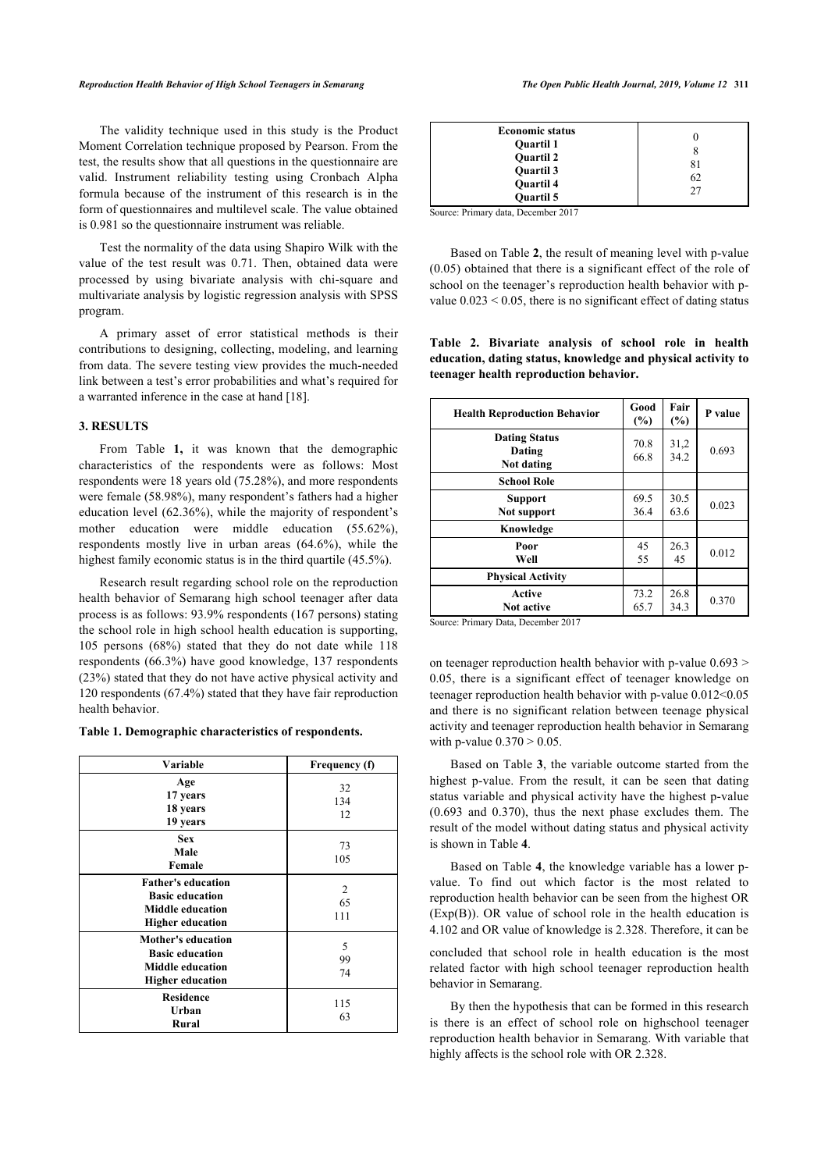The validity technique used in this study is the Product Moment Correlation technique proposed by Pearson. From the test, the results show that all questions in the questionnaire are valid. Instrument reliability testing using Cronbach Alpha formula because of the instrument of this research is in the form of questionnaires and multilevel scale. The value obtained is 0.981 so the questionnaire instrument was reliable.

Test the normality of the data using Shapiro Wilk with the value of the test result was 0.71. Then, obtained data were processed by using bivariate analysis with chi-square and multivariate analysis by logistic regression analysis with SPSS program.

<span id="page-2-1"></span>A primary asset of error statistical methods is their contributions to designing, collecting, modeling, and learning from data. The severe testing view provides the much-needed link between a test's error probabilities and what's required for a warranted inference in the case at hand [[18\]](#page-5-3).

## **3. RESULTS**

From Table **[1,](#page-2-0)** it was known that the demographic characteristics of the respondents were as follows: Most respondents were 18 years old (75.28%), and more respondents were female (58.98%), many respondent's fathers had a higher education level (62.36%), while the majority of respondent's mother education were middle education (55.62%), respondents mostly live in urban areas (64.6%), while the highest family economic status is in the third quartile (45.5%).

Research result regarding school role on the reproduction health behavior of Semarang high school teenager after data process is as follows: 93.9% respondents (167 persons) stating the school role in high school health education is supporting, 105 persons (68%) stated that they do not date while 118 respondents (66.3%) have good knowledge, 137 respondents (23%) stated that they do not have active physical activity and 120 respondents (67.4%) stated that they have fair reproduction health behavior.

#### <span id="page-2-0"></span>**Table 1. Demographic characteristics of respondents.**

<span id="page-2-2"></span>

| <b>Variable</b>                                                                                           | Frequency (f)   |
|-----------------------------------------------------------------------------------------------------------|-----------------|
| Age<br>17 years<br>18 years<br>19 years                                                                   | 32<br>134<br>12 |
| <b>Sex</b><br>Male<br>Female                                                                              | 73<br>105       |
| <b>Father's education</b><br><b>Basic education</b><br><b>Middle education</b><br><b>Higher education</b> | 2<br>65<br>111  |
| <b>Mother's education</b><br><b>Basic education</b><br><b>Middle education</b><br><b>Higher education</b> | 5<br>99<br>74   |
| <b>Residence</b><br>Urban<br>Rural                                                                        | 115<br>63       |

|--|

Source: Primary data, December 2017

Based on Table **[2](#page-2-1)**, the result of meaning level with p-value (0.05) obtained that there is a significant effect of the role of school on the teenager's reproduction health behavior with pvalue  $0.023 \le 0.05$ , there is no significant effect of dating status

**Table 2. Bivariate analysis of school role in health education, dating status, knowledge and physical activity to teenager health reproduction behavior.**

| <b>Health Reproduction Behavior</b>                                                                                                                                                                                                                                                                                                                                                                                                       | Good<br>(%)  | Fair<br>(%)  | P value |
|-------------------------------------------------------------------------------------------------------------------------------------------------------------------------------------------------------------------------------------------------------------------------------------------------------------------------------------------------------------------------------------------------------------------------------------------|--------------|--------------|---------|
| <b>Dating Status</b><br>Dating<br>Not dating                                                                                                                                                                                                                                                                                                                                                                                              | 70.8<br>66.8 | 31,2<br>34.2 | 0.693   |
| <b>School Role</b>                                                                                                                                                                                                                                                                                                                                                                                                                        |              |              |         |
| <b>Support</b><br>Not support                                                                                                                                                                                                                                                                                                                                                                                                             | 69.5<br>36.4 | 30.5<br>63.6 | 0.023   |
| Knowledge                                                                                                                                                                                                                                                                                                                                                                                                                                 |              |              |         |
| Poor<br>Well                                                                                                                                                                                                                                                                                                                                                                                                                              | 45<br>55     | 26.3<br>45   | 0.012   |
| <b>Physical Activity</b>                                                                                                                                                                                                                                                                                                                                                                                                                  |              |              |         |
| Active<br><b>Not active</b><br>$\sim$<br>$\sim$ $\sim$<br>$\mathbb{R}$ $\mathbb{R}$ $\mathbb{R}$ $\mathbb{R}$ $\mathbb{R}$ $\mathbb{R}$ $\mathbb{R}$ $\mathbb{R}$ $\mathbb{R}$ $\mathbb{R}$ $\mathbb{R}$ $\mathbb{R}$ $\mathbb{R}$ $\mathbb{R}$ $\mathbb{R}$ $\mathbb{R}$ $\mathbb{R}$ $\mathbb{R}$ $\mathbb{R}$ $\mathbb{R}$ $\mathbb{R}$ $\mathbb{R}$ $\mathbb{R}$ $\mathbb{R}$ $\mathbb{$<br>$\bullet \bullet \bullet \bullet \bullet$ | 73.2<br>65.7 | 26.8<br>34.3 | 0.370   |

Source: Primary Data, December 2017

on teenager reproduction health behavior with p-value  $0.693$  > 0.05, there is a significant effect of teenager knowledge on teenager reproduction health behavior with p-value 0.012<0.05 and there is no significant relation between teenage physical activity and teenager reproduction health behavior in Semarang with p-value  $0.370 > 0.05$ .

Based on Table **[3](#page-2-2)**, the variable outcome started from the highest p-value. From the result, it can be seen that dating status variable and physical activity have the highest p-value (0.693 and 0.370), thus the next phase excludes them. The result of the model without dating status and physical activity is shown in Table **[4](#page-3-0)**.

Based on Table **[4](#page-3-0)**, the knowledge variable has a lower pvalue. To find out which factor is the most related to reproduction health behavior can be seen from the highest OR (Exp(B)). OR value of school role in the health education is 4.102 and OR value of knowledge is 2.328. Therefore, it can be

concluded that school role in health education is the most related factor with high school teenager reproduction health behavior in Semarang.

By then the hypothesis that can be formed in this research is there is an effect of school role on highschool teenager reproduction health behavior in Semarang. With variable that highly affects is the school role with OR 2.328.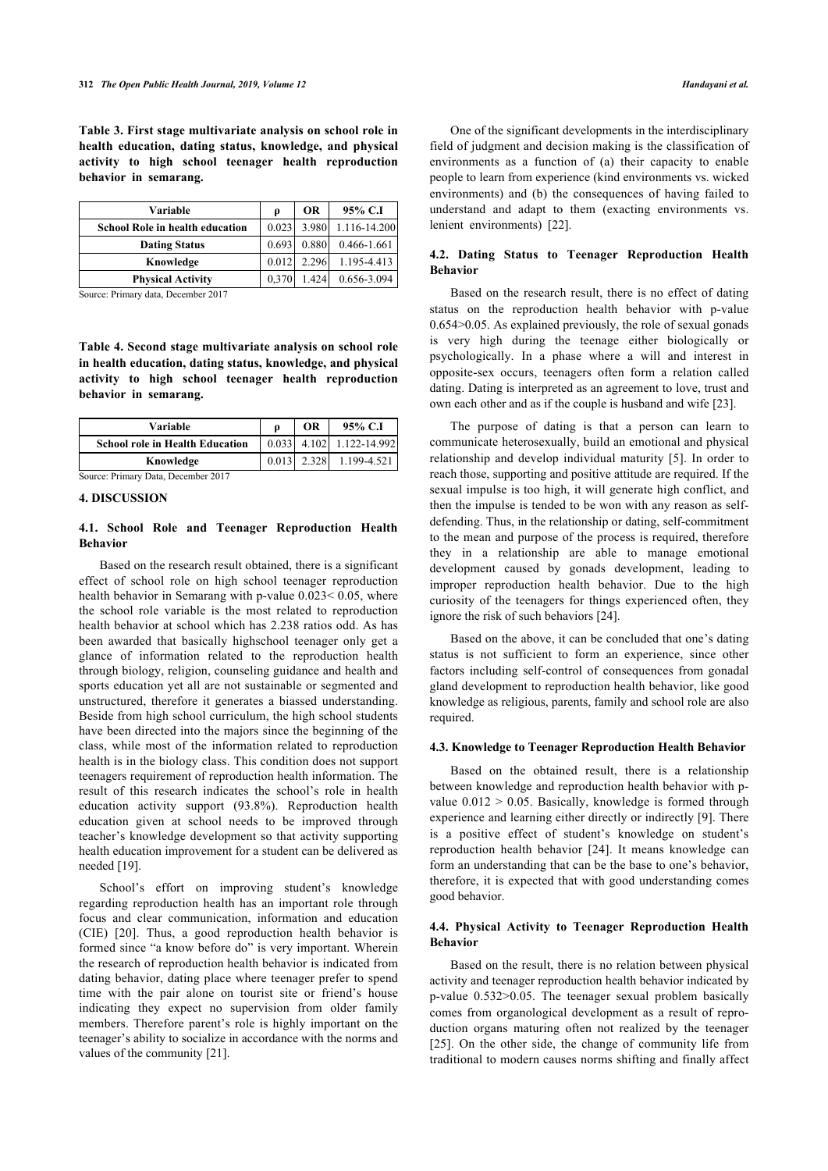**Table 3. First stage multivariate analysis on school role in health education, dating status, knowledge, and physical activity to high school teenager health reproduction behavior in semarang.**

| Variable                               | p     | OR    | 95% C.I      |
|----------------------------------------|-------|-------|--------------|
| <b>School Role in health education</b> | 0.023 | 3.980 | 1.116-14.200 |
| <b>Dating Status</b>                   | 0.693 | 0.880 | 0.466-1.661  |
| Knowledge                              | 0.012 | 2.296 | 1.195-4.413  |
| <b>Physical Activity</b>               | 0,370 | 1.424 | 0.656-3.094  |

Source: Primary data, December 2017

<span id="page-3-0"></span>**Table 4. Second stage multivariate analysis on school role in health education, dating status, knowledge, and physical activity to high school teenager health reproduction behavior in semarang.**

| Variable                               |       | ОR    | 95% C.I            |
|----------------------------------------|-------|-------|--------------------|
| <b>School role in Health Education</b> | 0.033 |       | 4.102 1.122-14.992 |
| Knowledge                              | 0.013 | 2.328 | 1.199-4.521        |

Source: Primary Data, December 2017

# **4. DISCUSSION**

# **4.1. School Role and Teenager Reproduction Health Behavior**

Based on the research result obtained, there is a significant effect of school role on high school teenager reproduction health behavior in Semarang with p-value 0.023< 0.05, where the school role variable is the most related to reproduction health behavior at school which has 2.238 ratios odd. As has been awarded that basically highschool teenager only get a glance of information related to the reproduction health through biology, religion, counseling guidance and health and sports education yet all are not sustainable or segmented and unstructured, therefore it generates a biassed understanding. Beside from high school curriculum, the high school students have been directed into the majors since the beginning of the class, while most of the information related to reproduction health is in the biology class. This condition does not support teenagers requirement of reproduction health information. The result of this research indicates the school's role in health education activity support (93.8%). Reproduction health education given at school needs to be improved through teacher's knowledge development so that activity supporting health education improvement for a student can be delivered as needed [\[19](#page-5-4)].

School's effort on improving student's knowledge regarding reproduction health has an important role through focus and clear communication, information and education (CIE)[[20\]](#page-5-5). Thus, a good reproduction health behavior is formed since "a know before do" is very important. Wherein the research of reproduction health behavior is indicated from dating behavior, dating place where teenager prefer to spend time with the pair alone on tourist site or friend's house indicating they expect no supervision from older family members. Therefore parent's role is highly important on the teenager's ability to socialize in accordance with the norms and values of the community [\[21](#page-5-6)].

One of the significant developments in the interdisciplinary field of judgment and decision making is the classification of environments as a function of (a) their capacity to enable people to learn from experience (kind environments vs. wicked environments) and (b) the consequences of having failed to understand and adapt to them (exacting environments vs. lenient environments)[[22\]](#page-5-7).

# **4.2. Dating Status to Teenager Reproduction Health Behavior**

Based on the research result, there is no effect of dating status on the reproduction health behavior with p-value 0.654>0.05. As explained previously, the role of sexual gonads is very high during the teenage either biologically or psychologically. In a phase where a will and interest in opposite-sex occurs, teenagers often form a relation called dating. Dating is interpreted as an agreement to love, trust and own each other and as if the couple is husband and wife [\[23](#page-5-8)].

The purpose of dating is that a person can learn to communicate heterosexually, build an emotional and physical relationship and develop individual maturity [[5\]](#page-4-4). In order to reach those, supporting and positive attitude are required. If the sexual impulse is too high, it will generate high conflict, and then the impulse is tended to be won with any reason as selfdefending. Thus, in the relationship or dating, self-commitment to the mean and purpose of the process is required, therefore they in a relationship are able to manage emotional development caused by gonads development, leading to improper reproduction health behavior. Due to the high curiosity of the teenagers for things experienced often, they ignore the risk of such behaviors [[24\]](#page-5-9).

Based on the above, it can be concluded that one's dating status is not sufficient to form an experience, since other factors including self-control of consequences from gonadal gland development to reproduction health behavior, like good knowledge as religious, parents, family and school role are also required.

#### **4.3. Knowledge to Teenager Reproduction Health Behavior**

Based on the obtained result, there is a relationship between knowledge and reproduction health behavior with pvalue  $0.012 > 0.05$ . Basically, knowledge is formed through experience and learning either directly or indirectly [[9](#page-4-8)]. There is a positive effect of student's knowledge on student's reproduction health behavior[[24](#page-5-9)]. It means knowledge can form an understanding that can be the base to one's behavior, therefore, it is expected that with good understanding comes good behavior.

# **4.4. Physical Activity to Teenager Reproduction Health Behavior**

Based on the result, there is no relation between physical activity and teenager reproduction health behavior indicated by p-value 0.532>0.05. The teenager sexual problem basically comes from organological development as a result of reproduction organs maturing often not realized by the teenager [[25](#page-5-10)]. On the other side, the change of community life from traditional to modern causes norms shifting and finally affect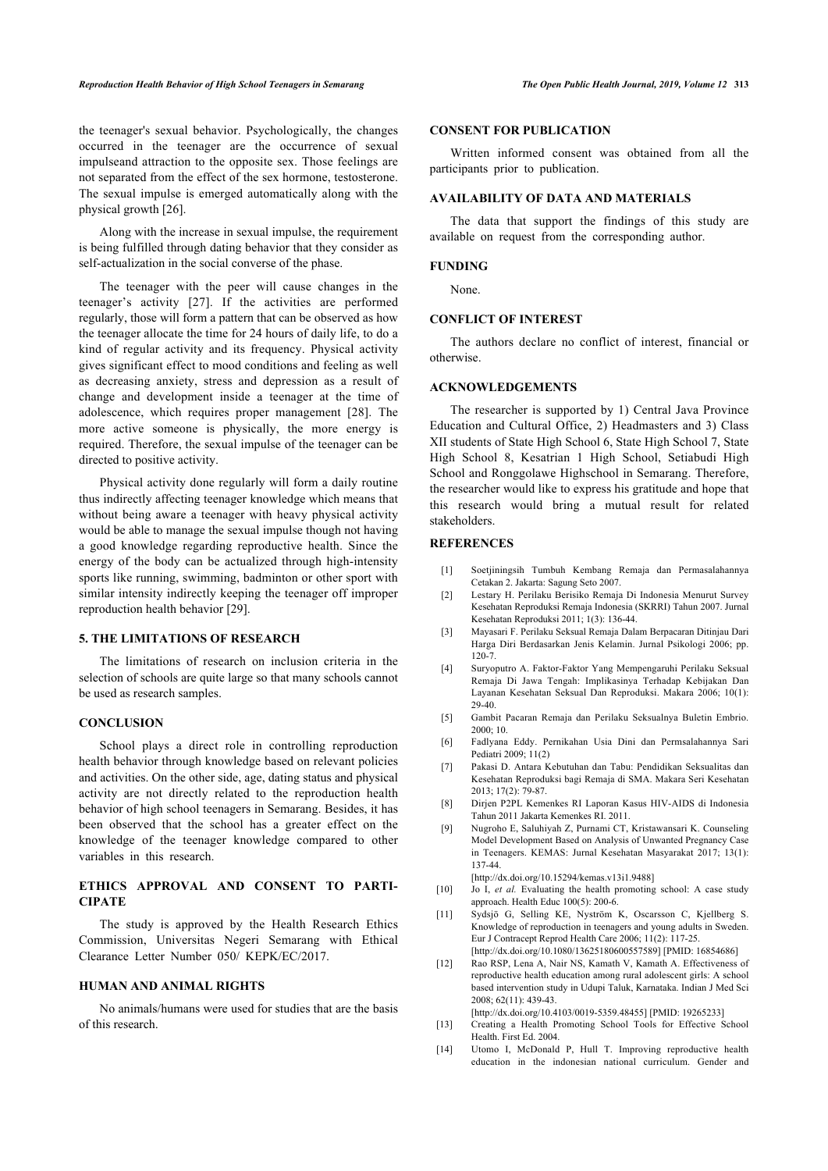the teenager's sexual behavior. Psychologically, the changes occurred in the teenager are the occurrence of sexual impulseand attraction to the opposite sex. Those feelings are not separated from the effect of the sex hormone, testosterone. The sexual impulse is emerged automatically along with the physical growth [[26\]](#page-5-11).

Along with the increase in sexual impulse, the requirement is being fulfilled through dating behavior that they consider as self-actualization in the social converse of the phase.

The teenager with the peer will cause changes in the teenager's activity[[27\]](#page-5-12). If the activities are performed regularly, those will form a pattern that can be observed as how the teenager allocate the time for 24 hours of daily life, to do a kind of regular activity and its frequency. Physical activity gives significant effect to mood conditions and feeling as well as decreasing anxiety, stress and depression as a result of change and development inside a teenager at the time of adolescence, which requires proper management[[28](#page-5-13)]. The more active someone is physically, the more energy is required. Therefore, the sexual impulse of the teenager can be directed to positive activity.

Physical activity done regularly will form a daily routine thus indirectly affecting teenager knowledge which means that without being aware a teenager with heavy physical activity would be able to manage the sexual impulse though not having a good knowledge regarding reproductive health. Since the energy of the body can be actualized through high-intensity sports like running, swimming, badminton or other sport with similar intensity indirectly keeping the teenager off improper reproduction health behavior [[29\]](#page-5-14).

#### <span id="page-4-2"></span><span id="page-4-1"></span><span id="page-4-0"></span>**5. THE LIMITATIONS OF RESEARCH**

<span id="page-4-3"></span>The limitations of research on inclusion criteria in the selection of schools are quite large so that many schools cannot be used as research samples.

#### <span id="page-4-4"></span>**CONCLUSION**

<span id="page-4-7"></span><span id="page-4-6"></span><span id="page-4-5"></span>School plays a direct role in controlling reproduction health behavior through knowledge based on relevant policies and activities. On the other side, age, dating status and physical activity are not directly related to the reproduction health behavior of high school teenagers in Semarang. Besides, it has been observed that the school has a greater effect on the knowledge of the teenager knowledge compared to other variables in this research.

# <span id="page-4-9"></span><span id="page-4-8"></span>**ETHICS APPROVAL AND CONSENT TO PARTI-CIPATE**

<span id="page-4-10"></span>The study is approved by the Health Research Ethics Commission, Universitas Negeri Semarang with Ethical Clearance Letter Number 050/ KEPK/EC/2017.

# <span id="page-4-11"></span>**HUMAN AND ANIMAL RIGHTS**

<span id="page-4-13"></span><span id="page-4-12"></span>No animals/humans were used for studies that are the basis of this research.

#### **CONSENT FOR PUBLICATION**

Written informed consent was obtained from all the participants prior to publication.

### **AVAILABILITY OF DATA AND MATERIALS**

The data that support the findings of this study are available on request from the corresponding author.

# **FUNDING**

None.

#### **CONFLICT OF INTEREST**

The authors declare no conflict of interest, financial or otherwise.

## **ACKNOWLEDGEMENTS**

The researcher is supported by 1) Central Java Province Education and Cultural Office, 2) Headmasters and 3) Class XII students of State High School 6, State High School 7, State High School 8, Kesatrian 1 High School, Setiabudi High School and Ronggolawe Highschool in Semarang. Therefore, the researcher would like to express his gratitude and hope that this research would bring a mutual result for related stakeholders.

## **REFERENCES**

- [1] Soetjiningsih Tumbuh Kembang Remaja dan Permasalahannya Cetakan 2. Jakarta: Sagung Seto 2007.
- [2] Lestary H. Perilaku Berisiko Remaja Di Indonesia Menurut Survey Kesehatan Reproduksi Remaja Indonesia (SKRRI) Tahun 2007. Jurnal Kesehatan Reproduksi 2011; 1(3): 136-44.
- [3] Mayasari F. Perilaku Seksual Remaja Dalam Berpacaran Ditinjau Dari Harga Diri Berdasarkan Jenis Kelamin. Jurnal Psikologi 2006; pp. 120-7.
- [4] Suryoputro A. Faktor-Faktor Yang Mempengaruhi Perilaku Seksual Remaja Di Jawa Tengah: Implikasinya Terhadap Kebijakan Dan Layanan Kesehatan Seksual Dan Reproduksi. Makara 2006; 10(1): 29-40.
- [5] Gambit Pacaran Remaja dan Perilaku Seksualnya Buletin Embrio. 2000; 10.
- [6] Fadlyana Eddy. Pernikahan Usia Dini dan Permsalahannya Sari Pediatri 2009; 11(2)
- [7] Pakasi D. Antara Kebutuhan dan Tabu: Pendidikan Seksualitas dan Kesehatan Reproduksi bagi Remaja di SMA. Makara Seri Kesehatan 2013; 17(2): 79-87.
- [8] Dirjen P2PL Kemenkes RI Laporan Kasus HIV-AIDS di Indonesia Tahun 2011 Jakarta Kemenkes RI. 2011.
- [9] Nugroho E, Saluhiyah Z, Purnami CT, Kristawansari K. Counseling Model Development Based on Analysis of Unwanted Pregnancy Case in Teenagers. KEMAS: Jurnal Kesehatan Masyarakat 2017; 13(1): 137-44.

[\[http://dx.doi.org/10.15294/kemas.v13i1.9488](http://dx.doi.org/10.15294/kemas.v13i1.9488)]

- [10] Jo I, *et al.* Evaluating the health promoting school: A case study approach. Health Educ 100(5): 200-6.
- [11] Sydsjö G, Selling KE, Nyström K, Oscarsson C, Kjellberg S. Knowledge of reproduction in teenagers and young adults in Sweden. Eur J Contracept Reprod Health Care 2006; 11(2): 117-25. [\[http://dx.doi.org/10.1080/13625180600557589\]](http://dx.doi.org/10.1080/13625180600557589) [PMID: [16854686\]](http://www.ncbi.nlm.nih.gov/pubmed/16854686)
- [12] Rao RSP, Lena A, Nair NS, Kamath V, Kamath A. Effectiveness of reproductive health education among rural adolescent girls: A school based intervention study in Udupi Taluk, Karnataka. Indian J Med Sci 2008; 62(11): 439-43.

[\[http://dx.doi.org/10.4103/0019-5359.48455](http://dx.doi.org/10.4103/0019-5359.48455)] [PMID: [19265233\]](http://www.ncbi.nlm.nih.gov/pubmed/19265233)

- [13] Creating a Health Promoting School Tools for Effective School Health. First Ed. 2004.
- [14] Utomo I, McDonald P, Hull T. Improving reproductive health education in the indonesian national curriculum. Gender and